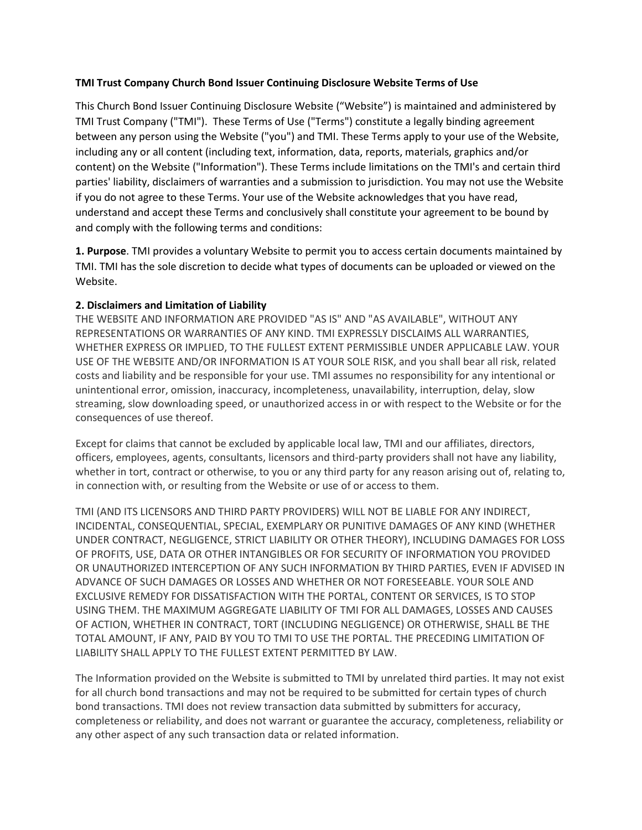## **TMI Trust Company Church Bond Issuer Continuing Disclosure Website Terms of Use**

This Church Bond Issuer Continuing Disclosure Website ("Website") is maintained and administered by TMI Trust Company ("TMI"). These Terms of Use ("Terms") constitute a legally binding agreement between any person using the Website ("you") and TMI. These Terms apply to your use of the Website, including any or all content (including text, information, data, reports, materials, graphics and/or content) on the Website ("Information"). These Terms include limitations on the TMI's and certain third parties' liability, disclaimers of warranties and a submission to jurisdiction. You may not use the Website if you do not agree to these Terms. Your use of the Website acknowledges that you have read, understand and accept these Terms and conclusively shall constitute your agreement to be bound by and comply with the following terms and conditions:

**1. Purpose**. TMI provides a voluntary Website to permit you to access certain documents maintained by TMI. TMI has the sole discretion to decide what types of documents can be uploaded or viewed on the Website.

## **2. Disclaimers and Limitation of Liability**

THE WEBSITE AND INFORMATION ARE PROVIDED "AS IS" AND "AS AVAILABLE", WITHOUT ANY REPRESENTATIONS OR WARRANTIES OF ANY KIND. TMI EXPRESSLY DISCLAIMS ALL WARRANTIES, WHETHER EXPRESS OR IMPLIED, TO THE FULLEST EXTENT PERMISSIBLE UNDER APPLICABLE LAW. YOUR USE OF THE WEBSITE AND/OR INFORMATION IS AT YOUR SOLE RISK, and you shall bear all risk, related costs and liability and be responsible for your use. TMI assumes no responsibility for any intentional or unintentional error, omission, inaccuracy, incompleteness, unavailability, interruption, delay, slow streaming, slow downloading speed, or unauthorized access in or with respect to the Website or for the consequences of use thereof.

Except for claims that cannot be excluded by applicable local law, TMI and our affiliates, directors, officers, employees, agents, consultants, licensors and third-party providers shall not have any liability, whether in tort, contract or otherwise, to you or any third party for any reason arising out of, relating to, in connection with, or resulting from the Website or use of or access to them.

TMI (AND ITS LICENSORS AND THIRD PARTY PROVIDERS) WILL NOT BE LIABLE FOR ANY INDIRECT, INCIDENTAL, CONSEQUENTIAL, SPECIAL, EXEMPLARY OR PUNITIVE DAMAGES OF ANY KIND (WHETHER UNDER CONTRACT, NEGLIGENCE, STRICT LIABILITY OR OTHER THEORY), INCLUDING DAMAGES FOR LOSS OF PROFITS, USE, DATA OR OTHER INTANGIBLES OR FOR SECURITY OF INFORMATION YOU PROVIDED OR UNAUTHORIZED INTERCEPTION OF ANY SUCH INFORMATION BY THIRD PARTIES, EVEN IF ADVISED IN ADVANCE OF SUCH DAMAGES OR LOSSES AND WHETHER OR NOT FORESEEABLE. YOUR SOLE AND EXCLUSIVE REMEDY FOR DISSATISFACTION WITH THE PORTAL, CONTENT OR SERVICES, IS TO STOP USING THEM. THE MAXIMUM AGGREGATE LIABILITY OF TMI FOR ALL DAMAGES, LOSSES AND CAUSES OF ACTION, WHETHER IN CONTRACT, TORT (INCLUDING NEGLIGENCE) OR OTHERWISE, SHALL BE THE TOTAL AMOUNT, IF ANY, PAID BY YOU TO TMI TO USE THE PORTAL. THE PRECEDING LIMITATION OF LIABILITY SHALL APPLY TO THE FULLEST EXTENT PERMITTED BY LAW.

The Information provided on the Website is submitted to TMI by unrelated third parties. It may not exist for all church bond transactions and may not be required to be submitted for certain types of church bond transactions. TMI does not review transaction data submitted by submitters for accuracy, completeness or reliability, and does not warrant or guarantee the accuracy, completeness, reliability or any other aspect of any such transaction data or related information.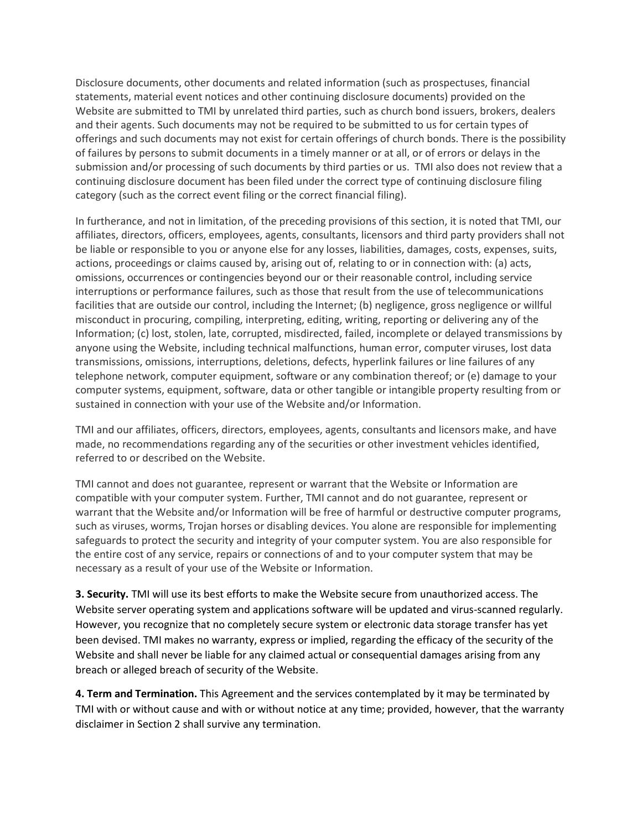Disclosure documents, other documents and related information (such as prospectuses, financial statements, material event notices and other continuing disclosure documents) provided on the Website are submitted to TMI by unrelated third parties, such as church bond issuers, brokers, dealers and their agents. Such documents may not be required to be submitted to us for certain types of offerings and such documents may not exist for certain offerings of church bonds. There is the possibility of failures by persons to submit documents in a timely manner or at all, or of errors or delays in the submission and/or processing of such documents by third parties or us. TMI also does not review that a continuing disclosure document has been filed under the correct type of continuing disclosure filing category (such as the correct event filing or the correct financial filing).

In furtherance, and not in limitation, of the preceding provisions of this section, it is noted that TMI, our affiliates, directors, officers, employees, agents, consultants, licensors and third party providers shall not be liable or responsible to you or anyone else for any losses, liabilities, damages, costs, expenses, suits, actions, proceedings or claims caused by, arising out of, relating to or in connection with: (a) acts, omissions, occurrences or contingencies beyond our or their reasonable control, including service interruptions or performance failures, such as those that result from the use of telecommunications facilities that are outside our control, including the Internet; (b) negligence, gross negligence or willful misconduct in procuring, compiling, interpreting, editing, writing, reporting or delivering any of the Information; (c) lost, stolen, late, corrupted, misdirected, failed, incomplete or delayed transmissions by anyone using the Website, including technical malfunctions, human error, computer viruses, lost data transmissions, omissions, interruptions, deletions, defects, hyperlink failures or line failures of any telephone network, computer equipment, software or any combination thereof; or (e) damage to your computer systems, equipment, software, data or other tangible or intangible property resulting from or sustained in connection with your use of the Website and/or Information.

TMI and our affiliates, officers, directors, employees, agents, consultants and licensors make, and have made, no recommendations regarding any of the securities or other investment vehicles identified, referred to or described on the Website.

TMI cannot and does not guarantee, represent or warrant that the Website or Information are compatible with your computer system. Further, TMI cannot and do not guarantee, represent or warrant that the Website and/or Information will be free of harmful or destructive computer programs, such as viruses, worms, Trojan horses or disabling devices. You alone are responsible for implementing safeguards to protect the security and integrity of your computer system. You are also responsible for the entire cost of any service, repairs or connections of and to your computer system that may be necessary as a result of your use of the Website or Information.

**3. Security.** TMI will use its best efforts to make the Website secure from unauthorized access. The Website server operating system and applications software will be updated and virus-scanned regularly. However, you recognize that no completely secure system or electronic data storage transfer has yet been devised. TMI makes no warranty, express or implied, regarding the efficacy of the security of the Website and shall never be liable for any claimed actual or consequential damages arising from any breach or alleged breach of security of the Website.

**4. Term and Termination.** This Agreement and the services contemplated by it may be terminated by TMI with or without cause and with or without notice at any time; provided, however, that the warranty disclaimer in Section 2 shall survive any termination.